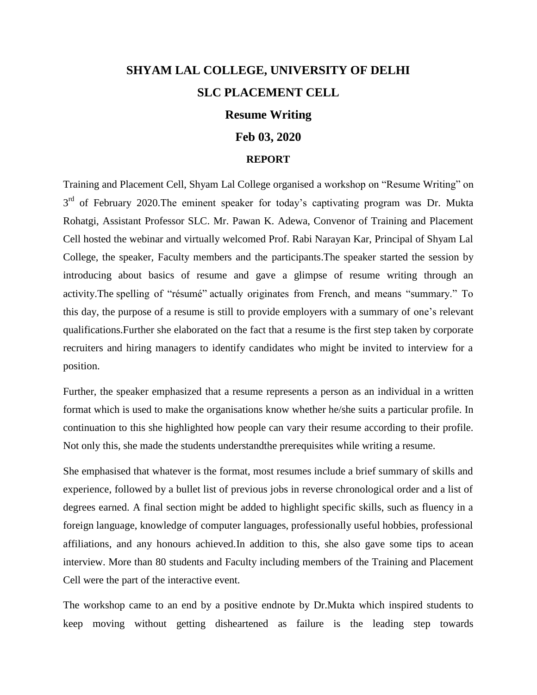## **SHYAM LAL COLLEGE, UNIVERSITY OF DELHI SLC PLACEMENT CELL**

#### **Resume Writing**

#### **Feb 03, 2020**

#### **REPORT**

Training and Placement Cell, Shyam Lal College organised a workshop on "Resume Writing" on 3<sup>rd</sup> of February 2020. The eminent speaker for today's captivating program was Dr. Mukta Rohatgi, Assistant Professor SLC. Mr. Pawan K. Adewa, Convenor of Training and Placement Cell hosted the webinar and virtually welcomed Prof. Rabi Narayan Kar, Principal of Shyam Lal College, the speaker, Faculty members and the participants.The speaker started the session by introducing about basics of resume and gave a glimpse of resume writing through an activity.The [spelling of "résumé"](https://resumegenius.com/blog/resume-help/resume-spelling) actually originates from French, and means "summary." To this day, the purpose of a resume is still to provide employers with a summary of one's relevant qualifications.Further she elaborated on the fact that a resume is the first step taken by corporate recruiters and hiring managers to identify candidates who might be invited to interview for a position.

Further, the speaker emphasized that a resume represents a person as an individual in a written format which is used to make the organisations know whether he/she suits a particular profile. In continuation to this she highlighted how people can vary their resume according to their profile. Not only this, she made the students understandthe prerequisites while writing a resume.

She emphasised that whatever is the format, most resumes include a brief summary of skills and experience, followed by a bullet list of previous jobs in reverse chronological order and a list of degrees earned. A final section might be added to highlight specific skills, such as fluency in a foreign language, knowledge of computer languages, professionally useful hobbies, professional affiliations, and any honours achieved.In addition to this, she also gave some tips to acean interview. More than 80 students and Faculty including members of the Training and Placement Cell were the part of the interactive event.

The workshop came to an end by a positive endnote by Dr.Mukta which inspired students to keep moving without getting disheartened as failure is the leading step towards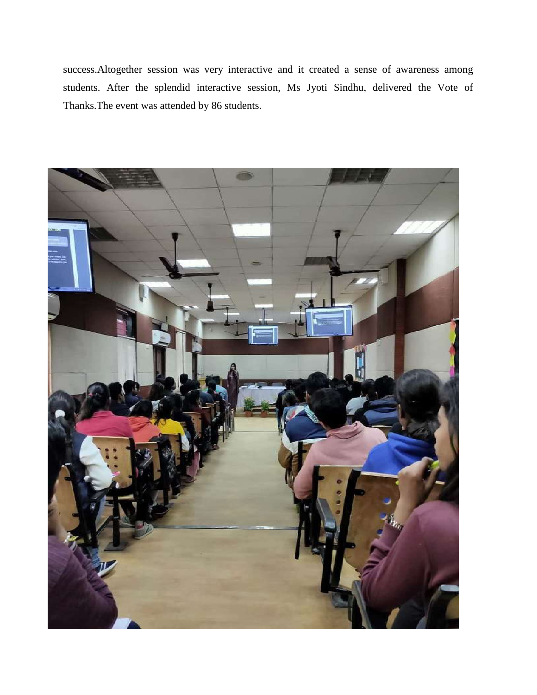success.Altogether session was very interactive and it created a sense of awareness among students. After the splendid interactive session, Ms Jyoti Sindhu, delivered the Vote of Thanks.The event was attended by 86 students.

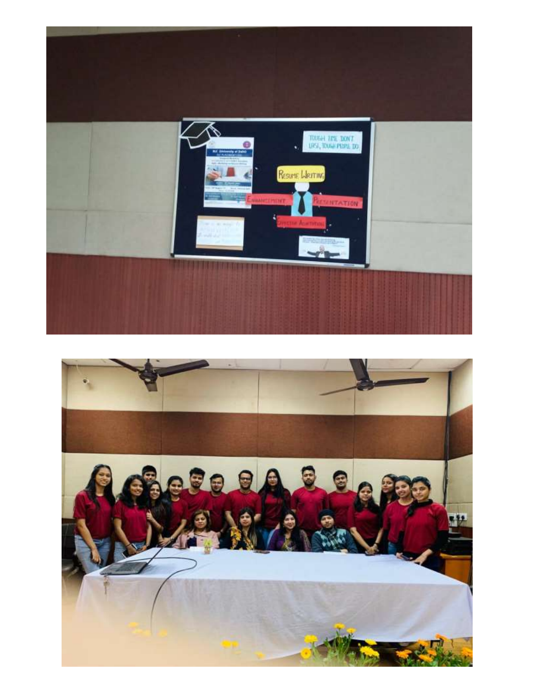